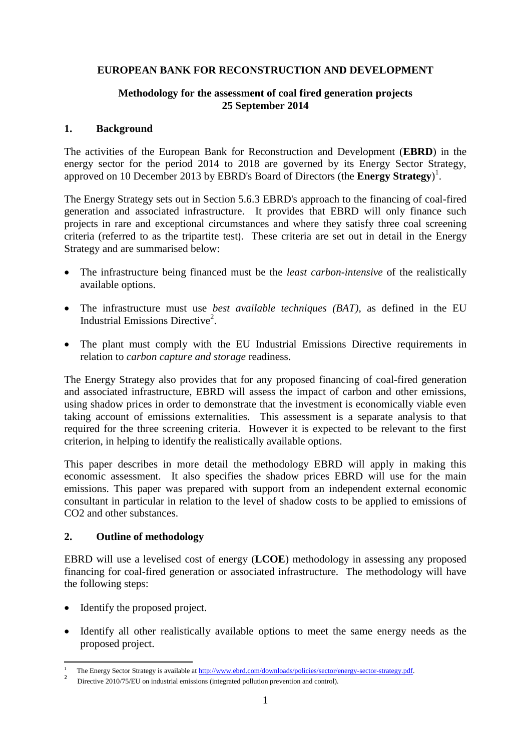## **EUROPEAN BANK FOR RECONSTRUCTION AND DEVELOPMENT**

### **Methodology for the assessment of coal fired generation projects 25 September 2014**

#### **1. Background**

The activities of the European Bank for Reconstruction and Development (**EBRD**) in the energy sector for the period 2014 to 2018 are governed by its Energy Sector Strategy, approved on 10 December 2013 by EBRD's Board of Directors (the **Energy Strategy**) 1 .

The Energy Strategy sets out in Section 5.6.3 EBRD's approach to the financing of coal-fired generation and associated infrastructure. It provides that EBRD will only finance such projects in rare and exceptional circumstances and where they satisfy three coal screening criteria (referred to as the tripartite test). These criteria are set out in detail in the Energy Strategy and are summarised below:

- The infrastructure being financed must be the *least carbon-intensive* of the realistically available options.
- The infrastructure must use *best available techniques (BAT)*, as defined in the EU Industrial Emissions Directive<sup>2</sup>.
- The plant must comply with the EU Industrial Emissions Directive requirements in relation to *carbon capture and storage* readiness.

The Energy Strategy also provides that for any proposed financing of coal-fired generation and associated infrastructure, EBRD will assess the impact of carbon and other emissions, using shadow prices in order to demonstrate that the investment is economically viable even taking account of emissions externalities. This assessment is a separate analysis to that required for the three screening criteria. However it is expected to be relevant to the first criterion, in helping to identify the realistically available options.

This paper describes in more detail the methodology EBRD will apply in making this economic assessment. It also specifies the shadow prices EBRD will use for the main emissions. This paper was prepared with support from an independent external economic consultant in particular in relation to the level of shadow costs to be applied to emissions of CO2 and other substances.

### **2. Outline of methodology**

EBRD will use a levelised cost of energy (**LCOE**) methodology in assessing any proposed financing for coal-fired generation or associated infrastructure. The methodology will have the following steps:

- Identify the proposed project.
- Identify all other realistically available options to meet the same energy needs as the proposed project.

 $\overline{a}$ <sup>1</sup> The Energy Sector Strategy is available at <u>[http://www.ebrd.com/downloads/policies/sector/energy-sector-strategy.pdf.](http://www.ebrd.com/downloads/policies/sector/energy-sector-strategy.pdf)</u>

Directive 2010/75/EU on industrial emissions (integrated pollution prevention and control).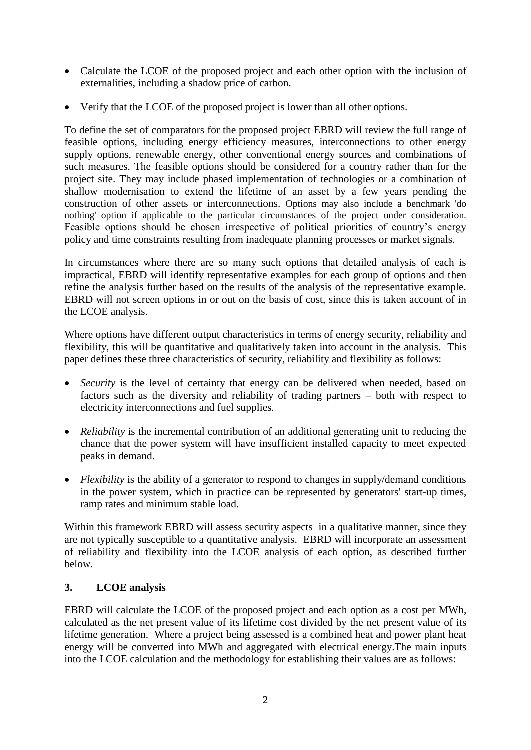- Calculate the LCOE of the proposed project and each other option with the inclusion of externalities, including a shadow price of carbon.
- Verify that the LCOE of the proposed project is lower than all other options.

To define the set of comparators for the proposed project EBRD will review the full range of feasible options, including energy efficiency measures, interconnections to other energy supply options, renewable energy, other conventional energy sources and combinations of such measures. The feasible options should be considered for a country rather than for the project site. They may include phased implementation of technologies or a combination of shallow modernisation to extend the lifetime of an asset by a few years pending the construction of other assets or interconnections. Options may also include a benchmark 'do nothing' option if applicable to the particular circumstances of the project under consideration. Feasible options should be chosen irrespective of political priorities of country's energy policy and time constraints resulting from inadequate planning processes or market signals.

In circumstances where there are so many such options that detailed analysis of each is impractical, EBRD will identify representative examples for each group of options and then refine the analysis further based on the results of the analysis of the representative example. EBRD will not screen options in or out on the basis of cost, since this is taken account of in the LCOE analysis.

Where options have different output characteristics in terms of energy security, reliability and flexibility, this will be quantitative and qualitatively taken into account in the analysis. This paper defines these three characteristics of security, reliability and flexibility as follows:

- *Security* is the level of certainty that energy can be delivered when needed, based on factors such as the diversity and reliability of trading partners – both with respect to electricity interconnections and fuel supplies.
- *Reliability* is the incremental contribution of an additional generating unit to reducing the chance that the power system will have insufficient installed capacity to meet expected peaks in demand.
- *Flexibility* is the ability of a generator to respond to changes in supply/demand conditions in the power system, which in practice can be represented by generators' start-up times, ramp rates and minimum stable load.

Within this framework EBRD will assess security aspects in a qualitative manner, since they are not typically susceptible to a quantitative analysis. EBRD will incorporate an assessment of reliability and flexibility into the LCOE analysis of each option, as described further below.

# **3. LCOE analysis**

EBRD will calculate the LCOE of the proposed project and each option as a cost per MWh, calculated as the net present value of its lifetime cost divided by the net present value of its lifetime generation. Where a project being assessed is a combined heat and power plant heat energy will be converted into MWh and aggregated with electrical energy.The main inputs into the LCOE calculation and the methodology for establishing their values are as follows: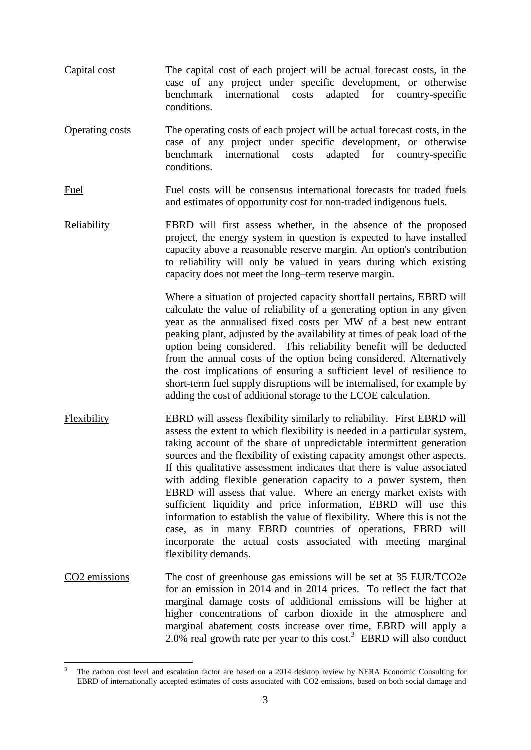- Capital cost The capital cost of each project will be actual forecast costs, in the case of any project under specific development, or otherwise benchmark international costs adapted for country-specific conditions.
- Operating costs The operating costs of each project will be actual forecast costs, in the case of any project under specific development, or otherwise benchmark international costs adapted for country-specific conditions.
- Fuel Fuel costs will be consensus international forecasts for traded fuels and estimates of opportunity cost for non-traded indigenous fuels.
- Reliability EBRD will first assess whether, in the absence of the proposed project, the energy system in question is expected to have installed capacity above a reasonable reserve margin. An option's contribution to reliability will only be valued in years during which existing capacity does not meet the long–term reserve margin.

Where a situation of projected capacity shortfall pertains, EBRD will calculate the value of reliability of a generating option in any given year as the annualised fixed costs per MW of a best new entrant peaking plant, adjusted by the availability at times of peak load of the option being considered. This reliability benefit will be deducted from the annual costs of the option being considered. Alternatively the cost implications of ensuring a sufficient level of resilience to short-term fuel supply disruptions will be internalised, for example by adding the cost of additional storage to the LCOE calculation.

- Flexibility EBRD will assess flexibility similarly to reliability. First EBRD will assess the extent to which flexibility is needed in a particular system, taking account of the share of unpredictable intermittent generation sources and the flexibility of existing capacity amongst other aspects. If this qualitative assessment indicates that there is value associated with adding flexible generation capacity to a power system, then EBRD will assess that value. Where an energy market exists with sufficient liquidity and price information, EBRD will use this information to establish the value of flexibility. Where this is not the case, as in many EBRD countries of operations, EBRD will incorporate the actual costs associated with meeting marginal flexibility demands.
- CO2 emissions The cost of greenhouse gas emissions will be set at 35 EUR/TCO2e for an emission in 2014 and in 2014 prices. To reflect the fact that marginal damage costs of additional emissions will be higher at higher concentrations of carbon dioxide in the atmosphere and marginal abatement costs increase over time, EBRD will apply a 2.0% real growth rate per year to this cost.<sup>3</sup> EBRD will also conduct

**<sup>.</sup>** <sup>3</sup> The carbon cost level and escalation factor are based on a 2014 desktop review by NERA Economic Consulting for EBRD of internationally accepted estimates of costs associated with CO2 emissions, based on both social damage and